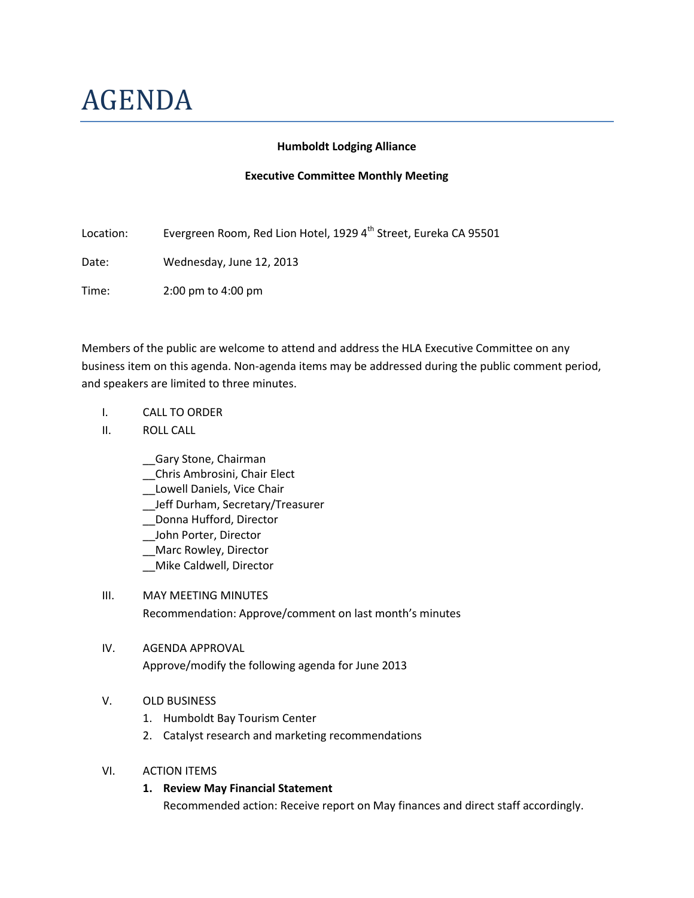# AGENDA

#### **Humboldt Lodging Alliance**

#### **Executive Committee Monthly Meeting**

Location: Evergreen Room, Red Lion Hotel, 1929 4<sup>th</sup> Street, Eureka CA 95501

Date: Wednesday, June 12, 2013

Time: 2:00 pm to 4:00 pm

Members of the public are welcome to attend and address the HLA Executive Committee on any business item on this agenda. Non-agenda items may be addressed during the public comment period, and speakers are limited to three minutes.

- I. CALL TO ORDER
- II. ROLL CALL
	- \_\_Gary Stone, Chairman
	- \_\_Chris Ambrosini, Chair Elect
	- \_\_Lowell Daniels, Vice Chair
	- \_\_Jeff Durham, Secretary/Treasurer
	- \_\_Donna Hufford, Director
	- \_\_John Porter, Director
	- \_\_Marc Rowley, Director
	- \_\_Mike Caldwell, Director
- III. MAY MEETING MINUTES Recommendation: Approve/comment on last month's minutes

# IV. AGENDA APPROVAL

Approve/modify the following agenda for June 2013

# V. OLD BUSINESS

- 1. Humboldt Bay Tourism Center
- 2. Catalyst research and marketing recommendations

#### VI. ACTION ITEMS

**1. Review May Financial Statement** Recommended action: Receive report on May finances and direct staff accordingly.